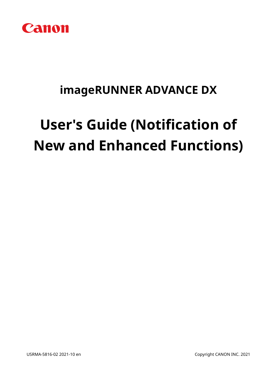

# **imageRUNNER ADVANCE DX**

# **User's Guide (Notification of New and Enhanced Functions)**

USRMA-5816-02 2021-10 en Copyright CANON INC. 2021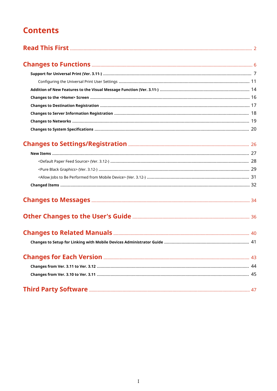# **Contents**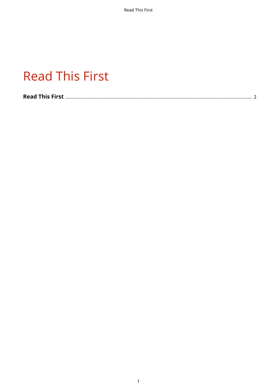# **Read This First**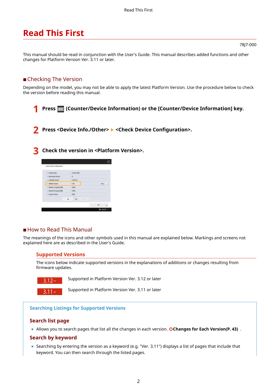## <span id="page-3-0"></span>**Read This First**

This manual should be read in conjunction with the User's Guide. This manual describes added functions and other changes for Platform Version Ver. 3.11 or later.

#### ■ Checking The Version

Depending on the model, you may not be able to apply the latest Platform Version. Use the procedure below to check the version before reading this manual.

|  |  | 1 Press <b>m</b> (Counter/Device Information) or the [Counter/Device Information] key. |
|--|--|----------------------------------------------------------------------------------------|
|--|--|----------------------------------------------------------------------------------------|

**Press <Device Info./Other>**  $\blacktriangleright$  **<Check Device Configuration>.** 

#### **3 Check the version in <Platform Version>.**

| <b>Frederi Human</b>                  | <b>UABV MUSS</b>                        |  |
|---------------------------------------|-----------------------------------------|--|
| <b>Main Board Herslon</b>             |                                         |  |
| Two Link                              | $+30$ tk 3.8                            |  |
| Farbas Verson                         | - 30<br><b>Contract of the American</b> |  |
| <b>Islamoni A Capacity (119)</b><br>۰ | $= 0000$                                |  |
| <b>klemoni &amp; Capacity IIAR</b>    | $= 10000$                               |  |
| -<br>Scanner Western<br>٠             | <b>MAG</b>                              |  |
|                                       | ×                                       |  |

#### ■ How to Read This Manual

The meanings of the icons and other symbols used in this manual are explained below. Markings and screens not explained here are as described in the User's Guide.

#### **Supported Versions**

The icons below indicate supported versions in the explanations of additions or changes resulting from firmware updates.



 $3.11 -$ 

Supported in Platform Version Ver. 3.12 or later

Supported in Platform Version Ver. 3.11 or later

#### **Searching Listings for Supported Versions**

#### **Search list page**

● Allows you to search pages that list all the changes in each version. **©Changes for Each Version(P. 43)**.

#### **Search by keyword**

● Searching by entering the version as a keyword (e.g. "Ver. 3.11") displays a list of pages that include that keyword. You can then search through the listed pages.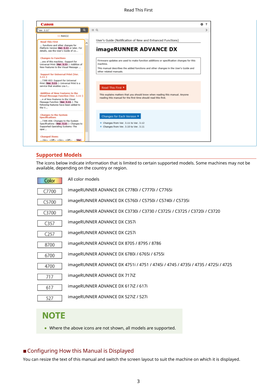Read This First



### **Supported Models**

The icons below indicate information that is limited to certain supported models. Some machines may not be available, depending on the country or region.

| Color | All color models                                                                 |
|-------|----------------------------------------------------------------------------------|
| C7700 | imageRUNNER ADVANCE DX C7780i / C7770i / C7765i                                  |
| C5700 | imageRUNNER ADVANCE DX C5760i / C5750i / C5740i / C5735i                         |
| C3700 | imageRUNNER ADVANCE DX C3730i / C3730 / C3725i / C3725 / C3720i / C3720          |
| C357  | imageRUNNER ADVANCE DX C357i                                                     |
| C257  | imageRUNNER ADVANCE DX C257i                                                     |
| 8700  | imageRUNNER ADVANCE DX 8705 / 8795 / 8786                                        |
| 6700  | imageRUNNER ADVANCE DX 6780i / 6765i / 6755i                                     |
| 4700  | imageRUNNER ADVANCE DX 4751i / 4751 / 4745i / 4745 / 4735i / 4735 / 4725i / 4725 |
| 717   | imageRUNNER ADVANCE DX 717iZ                                                     |
| 617   | imageRUNNER ADVANCE DX 617iZ / 617i                                              |
| 527   | imageRUNNER ADVANCE DX 527iZ / 527i                                              |

# **NOTE**

● Where the above icons are not shown, all models are supported.

### ■ Configuring How this Manual is Displayed

You can resize the text of this manual and switch the screen layout to suit the machine on which it is displayed.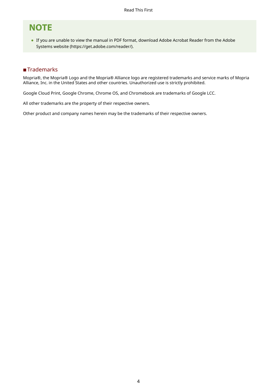# **NOTE**

● If you are unable to view the manual in PDF format, download Adobe Acrobat Reader from the Adobe Systems website (https://get.adobe.com/reader/).

### ■Trademarks

Mopria®, the Mopria® Logo and the Mopria® Alliance logo are registered trademarks and service marks of Mopria Alliance, Inc. in the United States and other countries. Unauthorized use is strictly prohibited.

Google Cloud Print, Google Chrome, Chrome OS, and Chromebook are trademarks of Google LCC.

All other trademarks are the property of their respective owners.

Other product and company names herein may be the trademarks of their respective owners.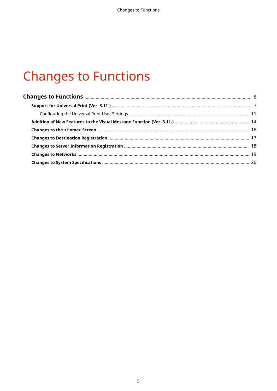# **Changes to Functions**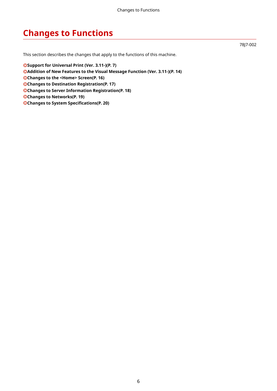# <span id="page-7-0"></span>**Changes to Functions**

This section describes the changes that apply to the functions of this machine.

- **OSupport for Universal Print (Ver. 3.11-)(P. 7)**
- **[Addition of New Features to the Visual Message Function \(Ver. 3.11-\)\(P. 14\)](#page-15-0)**
- **Changes to the <Home> Screen(P. 16)**
- **[Changes to Destination Registration\(P. 17\)](#page-18-0)**
- **Changes to Server Information Registration(P. 18)**
- **Changes to Networks(P. 19)**
- **OChanges to System Specifications(P. 20)**

78J7-002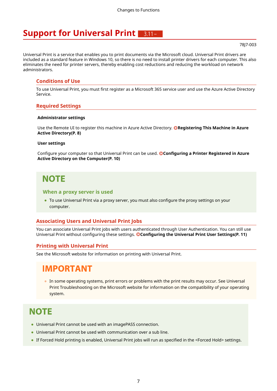# <span id="page-8-0"></span>**Support for Universal Print**

#### 78J7-003

Universal Print is a service that enables you to print documents via the Microsoft cloud. Universal Print drivers are included as a standard feature in Windows 10, so there is no need to install printer drivers for each computer. This also eliminates the need for printer servers, thereby enabling cost reductions and reducing the workload on network administrators.

#### **Conditions of Use**

To use Universal Print, you must first register as a Microsoft 365 service user and use the Azure Active Directory Service.

#### **Required Settings**

#### **Administrator settings**

Use the Remote UI to register this machine in Azure Active Directory. **[Registering This Machine in Azure](#page-9-0) [Active Directory\(P. 8\)](#page-9-0)** 

#### **User settings**

Configure your computer so that Universal Print can be used. **@Configuring a Printer Registered in Azure [Active Directory on the Computer\(P. 10\)](#page-11-0)** 

## **NOTF**

#### **When a proxy server is used**

• To use Universal Print via a proxy server, you must also configure the proxy settings on your computer.

#### **Associating Users and Universal Print Jobs**

You can associate Universal Print jobs with users authenticated through User Authentication. You can still use Universal Print without configuring these settings. **@Configuring the Universal Print User Settings(P. 11)** 

#### **Printing with Universal Print**

See the Microsoft website for information on printing with Universal Print.

## **IMPORTANT**

● In some operating systems, print errors or problems with the print results may occur. See Universal Print Troubleshooting on the Microsoft website for information on the compatibility of your operating system.

## **NOTE**

- Universal Print cannot be used with an imagePASS connection.
- Universal Print cannot be used with communication over a sub line.
- $\bullet$  If Forced Hold printing is enabled, Universal Print jobs will run as specified in the <Forced Hold> settings.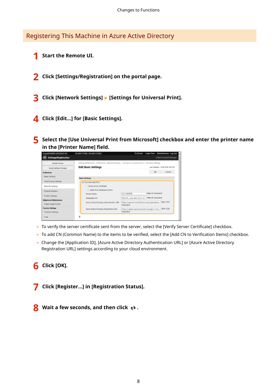### <span id="page-9-0"></span>Registering This Machine in Azure Active Directory

- **1 Start the Remote UI.**
- **2 Click [Settings/Registration] on the portal page.**
- **Click [Network Settings] ▶ [Settings for Universal Print].**
- **4 Click [Edit...] for [Basic Settings].**
- **5 Select the [Use Universal Print from Microsoft] checkbox and enter the printer name** in the [Printer Name] field.

|                                             | A 40x (778) / A 40Y (778) /                                                                                 | To Portal                 | Login User: Administrator Log Out                          |
|---------------------------------------------|-------------------------------------------------------------------------------------------------------------|---------------------------|------------------------------------------------------------|
| <b>Settings/Registration</b>                |                                                                                                             |                           | E-Mail to System Manager                                   |
| Restart Device                              | Settings/Registration : Preferences : Network Settings > Settings for Universal Print > Edit Basic Settings |                           |                                                            |
| Apply Setting Changes                       | <b>Edit Basic Settings</b>                                                                                  |                           | Last Updated: 15/08 2020 16:51:26                          |
| <b><i><u><u>Drumenamesa</u></u></i></b>     |                                                                                                             |                           | OK.<br>Cancel                                              |
| <b>Paper Settinox</b>                       | <b>Basic Settings</b>                                                                                       |                           |                                                            |
| Timer/Energy Settings                       | [2] Use Universal Print                                                                                     |                           |                                                            |
| Network Settings                            | Verify Server Certificate                                                                                   |                           |                                                            |
| External Interface                          | Add CN to Verification Items                                                                                |                           |                                                            |
| Volume Settings                             | Printer Name:                                                                                               | OIP_PRINTER               | (Mai 32 characters)                                        |
| Adjustment/Maintenance                      | Application ID:                                                                                             | SR:375c-c7ba-4e5c-b213-23 | (Max 30 characters)                                        |
| Adjust Image Quality                        | Azure Active Directory Authentication URL (                                                                 | characters)               | https://login.microsoftcnline.com/organizations (Max 1024) |
| <b>Function Settings</b><br>Common Settings | Azure Active Directory Registration URL:                                                                    | characters)               | https://register.print/nicrosoft.com/apj/v1.b/roc Max 1024 |
|                                             | z                                                                                                           |                           |                                                            |
| Copy                                        |                                                                                                             |                           |                                                            |

- To verify the server certificate sent from the server, select the [Verify Server Certificate] checkbox.
- To add CN (Common Name) to the items to be verified, select the [Add CN to Verification Items] checkbox.
- Change the [Application ID], [Azure Active Directory Authentication URL] or [Azure Active Directory Registration URL] settings according to your cloud environment.

## **6 Click [OK].**

- **7 Click [Register...] in [Registration Status].**
- **8** Wait a few seconds, and then click  $\leftrightarrow$ .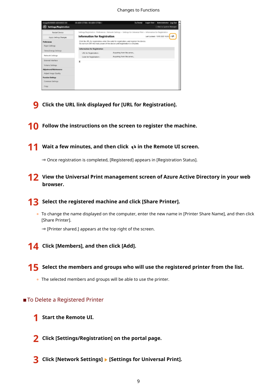#### Changes to Functions

| $-$<br>Settings/Registration                        | <b>BLADY CTOR/ BLADY CTOR/</b>                        | <b>To Portal</b>                                                                                                                                                           | Login User: Administrator Log Out<br>E-Mail to System Manager |  |
|-----------------------------------------------------|-------------------------------------------------------|----------------------------------------------------------------------------------------------------------------------------------------------------------------------------|---------------------------------------------------------------|--|
| Restart Device<br>Apply Setting Changes             | Information for Registration                          | Settings/Registration : Preferences : Network Settings = Settings for Universal Print > Information for Registration                                                       | Last Updated: 19/08 2020 16:54 1 0                            |  |
| <b>Professores</b><br><b>Paper Settings</b>         |                                                       | Click the URL for registration, enter the code for registration, and register the device.<br>Do not turn OFF the main power of the device until registration is constiete. |                                                               |  |
| Time/Energy Settings                                | Information for Registration<br>URL for Registration: | Acquiring from the server                                                                                                                                                  |                                                               |  |
| Notwork Settings                                    | Code for Reptatration:                                | Acquiring from the server                                                                                                                                                  |                                                               |  |
| External Interface<br><b>Volume Settings</b>        | z                                                     |                                                                                                                                                                            |                                                               |  |
| Adjustment/Maintenance                              |                                                       |                                                                                                                                                                            |                                                               |  |
| Adjust Image Quality                                |                                                       |                                                                                                                                                                            |                                                               |  |
| <b>Function Settings</b><br>Common Settings<br>Copy |                                                       |                                                                                                                                                                            |                                                               |  |

- **9 Click the URL link displayed for [URL for Registration].**
- **10 Follow the instructions on the screen to register the machine.**

**11** Wait a few minutes, and then click  $\leftrightarrow$  in the Remote UI screen.

➠Once registration is completed, [Registered] appears in [Registration Status].

- **12 View the Universal Print management screen of Azure Active Directory in your web browser.**
- **13 Select the registered machine and click [Share Printer].**
	- To change the name displayed on the computer, enter the new name in [Printer Share Name], and then click [Share Printer].
		- ➠[Printer shared.] appears at the top right of the screen.
- **14 Click [Members], and then click [Add].**
- **15 Select the members and groups who will use the registered printer from the list.**
	- The selected members and groups will be able to use the printer.

#### ■ To Delete a Registered Printer

- **1 Start the Remote UI.**
- **2 Click [Settings/Registration] on the portal page.**
- **3 Click [Network Settings] [Settings for Universal Print].**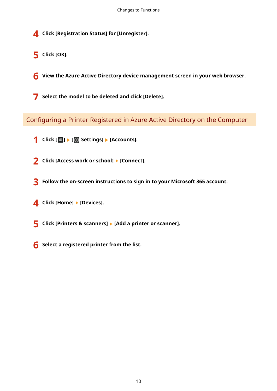<span id="page-11-0"></span>**Click [Registration Status] for [Unregister].**

- **Click [OK].**
- **View the Azure Active Directory device management screen in your web browser.**
- **Select the model to be deleted and click [Delete].**

Configuring a Printer Registered in Azure Active Directory on the Computer

- **Click [ □** ] ▶ [ 图 Settings] ▶ [Accounts].
- Click [Access work or school] L [Connect].
- **Follow the on-screen instructions to sign in to your Microsoft 365 account.**
- **Click [Home] ▶ [Devices].**
- **Click [Printers & scanners] > [Add a printer or scanner].**
- **Select a registered printer from the list.**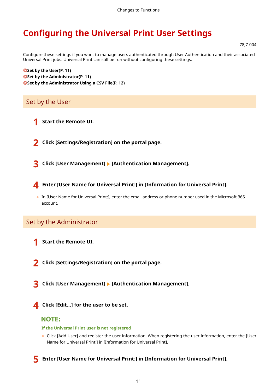# <span id="page-12-0"></span>**Configuring the Universal Print User Settings**

#### 78J7-004

Configure these settings if you want to manage users authenticated through User Authentication and their associated Universal Print jobs. Universal Print can still be run without configuring these settings.

**OSet by the User(P. 11) OSet by the Administrator(P. 11) OSet by the Administrator Using a CSV File(P. 12)** 

### Set by the User

- **1 Start the Remote UI.**
- **2 Click [Settings/Registration] on the portal page.**
- **3** Click [User Management] Management].
- **4 Enter [User Name for Universal Print:] in [Information for Universal Print].**
- In [User Name for Universal Print:], enter the email address or phone number used in the Microsoft 365 account.

### Set by the Administrator

- **1 Start the Remote UI.**
- **2 Click [Settings/Registration] on the portal page.**
- **3 Click [User Management] [Authentication Management].**
- **4 Click [Edit...] for the user to be set.**

#### **NOTE:**

#### **If the Universal Print user is not registered**

- Click [Add User] and register the user information. When registering the user information, enter the [User Name for Universal Print:] in [Information for Universal Print].
- **5 Enter [User Name for Universal Print:] in [Information for Universal Print].**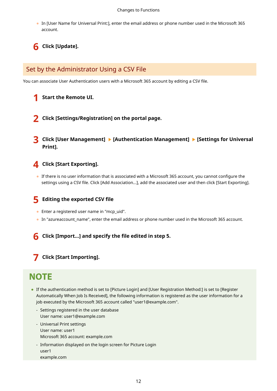<span id="page-13-0"></span>● In [User Name for Universal Print:], enter the email address or phone number used in the Microsoft 365 account.

**6 Click [Update].**

### Set by the Administrator Using a CSV File

You can associate User Authentication users with a Microsoft 365 account by editing a CSV file.

### **1 Start the Remote UI.**

- **2 Click [Settings/Registration] on the portal page.**
- **3** Click [User Management] Lauthentication Management] Laurelian Settings for Universal **Print].**



• If there is no user information that is associated with a Microsoft 365 account, you cannot configure the settings using a CSV file. Click [Add Association...], add the associated user and then click [Start Exporting].

### **5 Editing the exported CSV file**

- Enter a registered user name in "mcp\_uid".
- In "azureaccount\_name", enter the email address or phone number used in the Microsoft 365 account.

**6** Click [Import...] and specify the file edited in step 5.

## **7 Click [Start Importing].**

# **NOTE**

- If the authentication method is set to [Picture Login] and [User Registration Method:] is set to [Register Automatically When Job Is Received], the following information is registered as the user information for a job executed by the Microsoft 365 account called "user1@example.com".
	- Settings registered in the user database User name: user1@example.com
	- Universal Print settings User name: user1 Microsoft 365 account: example.com
	- Information displayed on the login screen for Picture Login user1 example.com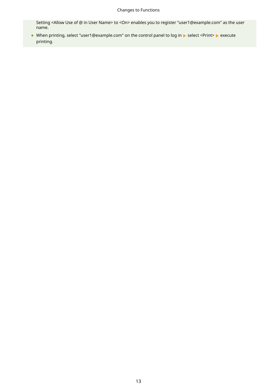#### Changes to Functions

Setting <Allow Use of @ in User Name> to <On> enables you to register "user1@example.com" as the user name.

● When printing, select "user1@example.com" on the control panel to log in ▶ select <Print> ▶ execute printing.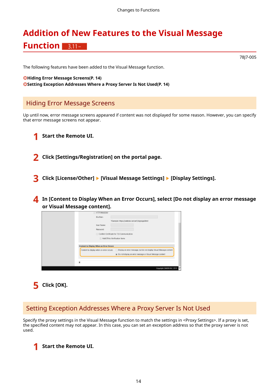# <span id="page-15-0"></span>**Addition of New Features to the Visual Message**

# **Function**

78J7-005

The following features have been added to the Visual Message function.

**O**Hiding Error Message Screens(P. 14) **OSetting Exception Addresses Where a Proxy Server Is Not Used(P. 14)** 

### Hiding Error Message Screens

Up until now, error message screens appeared if content was not displayed for some reason. However, you can specify that error message screens not appear.

**1 Start the Remote UI.**

**2 Click [Settings/Registration] on the portal page.**

**Click [License/Other] ▶ [Visual Message Settings] ▶ [Display Settings].** 

**4 In [Content to Display When an Error Occurs], select [Do not display an error message or Visual Message content].**

| E HTTP/WebDAW<br>File Pattic            | *Example: https://webdau-saruer1/signage.html                                                                                                                                    |
|-----------------------------------------|----------------------------------------------------------------------------------------------------------------------------------------------------------------------------------|
| User Name:                              |                                                                                                                                                                                  |
| <b>Restword:</b>                        |                                                                                                                                                                                  |
|                                         | Confirm Certificate for TLS Communication                                                                                                                                        |
|                                         | Add CN to Verification form                                                                                                                                                      |
| Content to Display When an Error Occurs |                                                                                                                                                                                  |
|                                         | Content to display when an empropouse [ C Display an error message, but do not display Visual Message content<br>(iii) Do not display an error message or Visual Message content |
| x                                       |                                                                                                                                                                                  |
|                                         | Copyright CANON INC. 2019                                                                                                                                                        |



### Setting Exception Addresses Where a Proxy Server Is Not Used

Specify the proxy settings in the Visual Message function to match the settings in <Proxy Settings>. If a proxy is set, the specified content may not appear. In this case, you can set an exception address so that the proxy server is not used.

**1 Start the Remote UI.**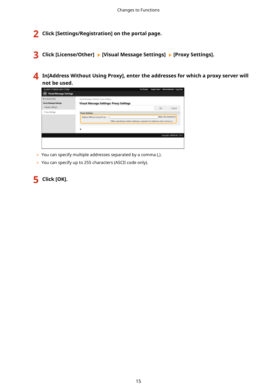**2 Click [Settings/Registration] on the portal page.**

**3 Click [License/Other] ▶ [Visual Message Settings] ▶ [Proxy Settings].** 

**4 In[Address Without Using Proxy], enter the addresses for which a proxy server will not be used.**

| <b>BARANCES</b><br><b>Visual Message Settings</b> |                                                                                           | To Portal | Login User: Administrator Log Out                                             |
|---------------------------------------------------|-------------------------------------------------------------------------------------------|-----------|-------------------------------------------------------------------------------|
| · License/Other<br>Visual Message Settings        | Visual Message Settings: Proxy Settings<br><b>Visual Message Settings: Proxy Settings</b> |           |                                                                               |
| Display Settings<br>Prosy Settings                | <b>Press Settings</b><br>Address Without Using Prover:                                    |           | OK<br>Cancel<br>(Max. 255 characters)                                         |
|                                                   | ×                                                                                         |           | * When specifying multiple addresses, separate the addresses with commas (.). |
|                                                   |                                                                                           |           | Copyright CANON INC. 2019                                                     |
|                                                   |                                                                                           |           |                                                                               |

- You can specify multiple addresses separated by a comma (,).
- You can specify up to 255 characters (ASCII code only).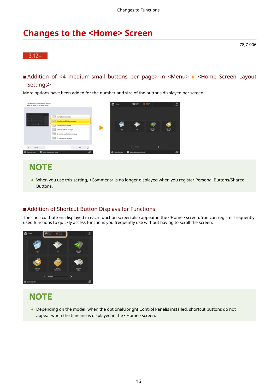# <span id="page-17-0"></span>**Changes to the <Home> Screen**

#### $3.12 -$

### ■Addition of <4 medium-small buttons per page> in <Menu> ▶ <Home Screen Layout Settings>

78J7-006

More options have been added for the number and size of the buttons displayed per screen.



# **NOTE**

● When you use this setting, <Comment> is no longer displayed when you register Personal Buttons/Shared Buttons.

### ■ Addition of Shortcut Button Displays for Functions

The shortcut buttons displayed in each function screen also appear in the <Home> screen. You can register frequently used functions to quickly access functions you frequently use without having to scroll the screen.



# **NOTE**

● Depending on the model, when the optionalUpright Control Panelis installed, shortcut buttons do not appear when the timeline is displayed in the <Home> screen.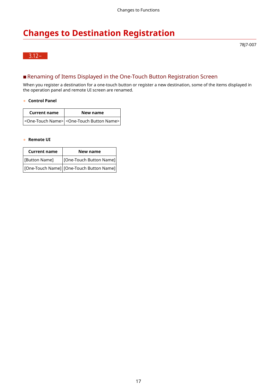# <span id="page-18-0"></span>**Changes to Destination Registration**



### ■ Renaming of Items Displayed in the One-Touch Button Registration Screen

When you register a destination for a one-touch button or register a new destination, some of the items displayed in the operation panel and remote UI screen are renamed.

#### ● **Control Panel**

| <b>Current name</b> | New name                                                                  |
|---------------------|---------------------------------------------------------------------------|
|                     | <one-touch name=""> <one-touch button="" name=""></one-touch></one-touch> |

#### ● **Remote UI**

| <b>Current name</b> | New name                                                         |
|---------------------|------------------------------------------------------------------|
| [Button Name]       | [One-Touch Button Name]                                          |
|                     | $\vert$ [One-Touch Name] $\vert$ [One-Touch Button Name] $\vert$ |

78J7-007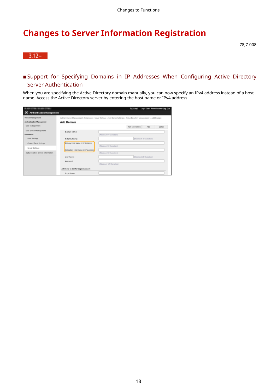# <span id="page-19-0"></span>**Changes to Server Information Registration**

### $3.12 -$

78J7-008

### ■Support for Specifying Domains in IP Addresses When Configuring Active Directory Server Authentication

When you are specifying the Active Directory domain manually, you can now specify an IPv4 address instead of a host name. Access the Active Directory server by entering the host name or IPv4 address.

| THE CRAIN CORP.                    |                                                                                                                             |                          | <b>To Pertail</b>      | Login User: Administrator Log Out |         |
|------------------------------------|-----------------------------------------------------------------------------------------------------------------------------|--------------------------|------------------------|-----------------------------------|---------|
| <b>Authentication Management</b>   |                                                                                                                             |                          |                        |                                   |         |
| + Liser Management                 | Authentication Management : Preferences : Server Settings > 6dil Server Settings > Active Directory Management > Add Domain |                          |                        |                                   |         |
| Authentication Management          | Add Domain                                                                                                                  |                          |                        |                                   |         |
| User Management                    |                                                                                                                             |                          | <b>Test Connection</b> | Add                               | Concell |
| User Group Management              | Donain Name:                                                                                                                |                          |                        |                                   |         |
| <b>Proferences</b>                 |                                                                                                                             | (Maximum 64 Characters)  |                        |                                   |         |
| Basic Settings                     | NetEICG Name:                                                                                                               |                          |                        | <b>Nudrum 15 Characteral</b>      |         |
| Control Panel Settings             | Primary Host Name or IP Address:                                                                                            |                          |                        |                                   |         |
| Server Settings                    |                                                                                                                             | (Maximum 84 Characters)  |                        |                                   |         |
| Authentication Service Information | Secondary Host Name or IP Address                                                                                           | (Masimum 64 Chancelers)  |                        |                                   |         |
|                                    | <b>User Name:</b>                                                                                                           |                          |                        | (Maximum 20 Characters)           |         |
|                                    | <b>Basswords</b>                                                                                                            |                          |                        |                                   |         |
|                                    |                                                                                                                             | (Masimum 127 Olaracters) |                        |                                   |         |
|                                    | Attribute to Set for Login Account                                                                                          |                          |                        |                                   |         |
|                                    | Login Name:                                                                                                                 |                          |                        |                                   |         |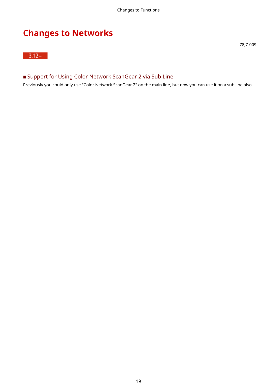78J7-009

# <span id="page-20-0"></span>**Changes to Networks**

 $-3.12-$ 

### ■ Support for Using Color Network ScanGear 2 via Sub Line

Previously you could only use "Color Network ScanGear 2" on the main line, but now you can use it on a sub line also.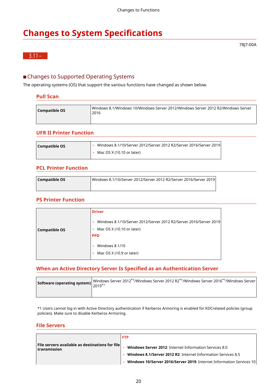# <span id="page-21-0"></span>**Changes to System Specifications**

### $3.11 -$

78J7-00A

### ■ Changes to Supported Operating Systems

The operating systems (OS) that support the various functions have changed as shown below.

#### **Pull Scan**

| Compatible OS | Windows 8.1/Windows 10/Windows Server 2012/Windows Server 2012 R2/Windows Server<br>2016 |
|---------------|------------------------------------------------------------------------------------------|
|               |                                                                                          |

#### **UFR II Printer Function**

| Compatible OS | Windows 8.1/10/Server 2012/Server 2012 R2/Server 2016/Server 2019 |  |
|---------------|-------------------------------------------------------------------|--|
|               | Mac OS X (10.10 or later)                                         |  |

#### **PCL Printer Function**

| Compatible OS | Windows 8.1/10/Server 2012/Server 2012 R2/Server 2016/Server 2019 |  |
|---------------|-------------------------------------------------------------------|--|
|               |                                                                   |  |

#### **PS Printer Function**

| <b>Driver</b>                                                     |
|-------------------------------------------------------------------|
| Windows 8.1/10/Server 2012/Server 2012 R2/Server 2016/Server 2019 |
| Mac OS X (10.10 or later)                                         |
| <b>PPD</b>                                                        |
| Windows 8.1/10                                                    |
| Mac OS X (10.9 or later)                                          |
|                                                                   |

#### **When an Active Directory Server Is Specified as an Authentication Server**

| $\left[\text{``oftware (operating system)}\right]\right _{2019^{*1}}$ Windows Server 2012 $^{*1}$ /Windows Server 2012 R2 $^{*1}$ /Windows Server 2016 $^{*1}$ /Windows Server . |
|----------------------------------------------------------------------------------------------------------------------------------------------------------------------------------|
|                                                                                                                                                                                  |

\*1 Users cannot log in with Active Directory authentication if Kerberos Armoring is enabled for KDCrelated policies (group policies). Make sure to disable Kerberos Armoring.

#### **File Servers**

|                                                                               | <b>FTP</b>                                                           |
|-------------------------------------------------------------------------------|----------------------------------------------------------------------|
| $\mid$ File servers available as destinations for file $\mid$<br>transmission | <b>Windows Server 2012: Internet Information Services 8.0</b>        |
|                                                                               | <b>Windows 8.1/Server 2012 R2: Internet Information Services 8.5</b> |
|                                                                               | Windows 10/Server 2016/Server 2019: Internet Information Services 10 |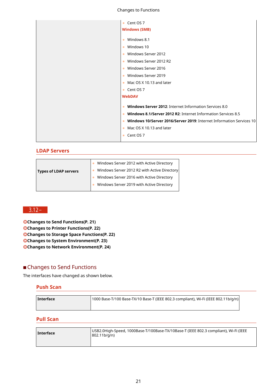#### Changes to Functions

| • Cent OS 7                                                            |
|------------------------------------------------------------------------|
| <b>Windows (SMB)</b>                                                   |
| • Windows 8.1                                                          |
| • Windows 10                                                           |
| • Windows Server 2012                                                  |
| • Windows Server 2012 R2                                               |
| • Windows Server 2016                                                  |
| • Windows Server 2019                                                  |
| • Mac OS X 10.13 and later                                             |
| • Cent OS 7                                                            |
| <b>WebDAV</b>                                                          |
| • Windows Server 2012: Internet Information Services 8.0               |
| • Windows 8.1/Server 2012 R2: Internet Information Services 8.5        |
| • Windows 10/Server 2016/Server 2019: Internet Information Services 10 |
| • Mac OS X 10.13 and later                                             |
| • Cent OS 7                                                            |
|                                                                        |

#### **LDAP Servers**

|                              | Windows Server 2012 with Active Directory    |  |
|------------------------------|----------------------------------------------|--|
| <b>Types of LDAP servers</b> | Windows Server 2012 R2 with Active Directory |  |
|                              | Windows Server 2016 with Active Directory    |  |
|                              | Windows Server 2019 with Active Directory    |  |
|                              |                                              |  |

### $3.12 -$

**OChanges to Send Functions(P. 21)** 

**Changes to Printer Functions(P. 22)** 

**[Changes to Storage Space Functions\(P. 22\)](#page-23-0)** 

**[Changes to System Environment\(P. 23\)](#page-24-0)** 

**[Changes to Network Environment\(P. 24\)](#page-25-0)** 

### ■ Changes to Send Functions

The interfaces have changed as shown below.

#### **Push Scan**

| Interface | 1000 Base-T/100 Base-TX/10 Base-T (IEEE 802.3 compliant), Wi-Fi (IEEE 802.11b/g/n) |
|-----------|------------------------------------------------------------------------------------|
|           |                                                                                    |

### **Pull Scan**

| Interface | USB2.0High-Speed, 1000Base-T/100Base-TX/10Base-T (IEEE 802.3 compliant), Wi-Fi (IEEE<br>802.11b/g/n) |
|-----------|------------------------------------------------------------------------------------------------------|
|           |                                                                                                      |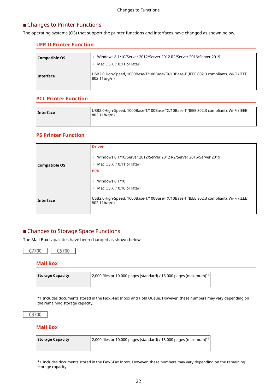### <span id="page-23-0"></span>■ Changes to Printer Functions

The operating systems (OS) that support the printer functions and interfaces have changed as shown below.

#### **UFR II Printer Function**

| Compatible OS | Windows 8.1/10/Server 2012/Server 2012 R2/Server 2016/Server 2019<br>Mac OS $X$ (10.11 or later)     |
|---------------|------------------------------------------------------------------------------------------------------|
| Interface     | USB2.0High-Speed, 1000Base-T/100Base-TX/10Base-T (IEEE 802.3 compliant), Wi-Fi (IEEE<br>802.11b/g/n) |

#### **PCL Printer Function**

| Interface | USB2.0High-Speed, 1000Base-T/100Base-TX/10Base-T (IEEE 802.3 compliant), Wi-Fi (IEEE<br>802.11b/g/n) |
|-----------|------------------------------------------------------------------------------------------------------|
|           |                                                                                                      |

#### **PS Printer Function**

|                      | <b>Driver</b>                                                                                                  |  |
|----------------------|----------------------------------------------------------------------------------------------------------------|--|
| <b>Compatible OS</b> | Windows 8.1/10/Server 2012/Server 2012 R2/Server 2016/Server 2019<br>Mac OS $X(10.11)$ or later)<br><b>PPD</b> |  |
|                      | Windows 8.1/10<br>Mac OS X (10.10 or later)                                                                    |  |
| Interface            | USB2.0High-Speed, 1000Base-T/100Base-TX/10Base-T (IEEE 802.3 compliant), Wi-Fi (IEEE<br>802.11 b/q/n           |  |

#### ■ Changes to Storage Space Functions

The Mail Box capacities have been changed as shown below.

#### **Mail Box**

E

| <b>Storage Capacity</b> | $ 2,000$ files or 10,000 pages (standard) / 15,000 pages (maximum) <sup>*1</sup> |
|-------------------------|----------------------------------------------------------------------------------|
|                         |                                                                                  |

\*1 Includes documents stored in the Fax/I-Fax Inbox and Hold Queue. However, these numbers may vary depending on the remaining storage capacity.

C3700

#### **Mail Box**

| Storage Capacity | $\vert$ 2,000 files or 10,000 pages (standard) / 15,000 pages (maximum)*1 $\vert$ |  |
|------------------|-----------------------------------------------------------------------------------|--|
|                  |                                                                                   |  |

\*1 Includes documents stored in the Fax/I-Fax Inbox. However, these numbers may vary depending on the remaining storage capacity.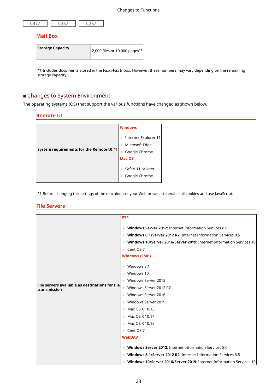<span id="page-24-0"></span>

#### **Mail Box**

| <b>Storage Capacity</b> |                                              |
|-------------------------|----------------------------------------------|
|                         | $ 2,000$ files or 10,000 pages <sup>*1</sup> |
|                         |                                              |

\*1 Includes documents stored in the Fax/I-Fax Inbox. However, these numbers may vary depending on the remaining storage capacity.

### ■ Changes to System Environment

The operating systems (OS) that support the various functions have changed as shown below.

#### **Remote UI**

|                                          | <b>Windows</b>                                                    |
|------------------------------------------|-------------------------------------------------------------------|
| System requirements for the Remote UI *1 | Internet Explorer 11<br>Microsoft Edge<br>Google Chrome<br>Mac OS |
|                                          | Safari 11 or later<br>Google Chrome                               |

\*1 Before changing the settings of the machine, set your Web browser to enable all cookies and use JavaScript.

#### **File Servers**

|                                                                 | <b>FTP</b>                                                           |
|-----------------------------------------------------------------|----------------------------------------------------------------------|
|                                                                 | Windows Server 2012: Internet Information Services 8.0               |
|                                                                 | Windows 8.1/Server 2012 R2: Internet Information Services 8.5        |
|                                                                 | Windows 10/Server 2016/Server 2019: Internet Information Services 10 |
|                                                                 | Cent OS 7<br>$\bullet$                                               |
|                                                                 | <b>Windows (SMB)</b>                                                 |
|                                                                 | Windows 8.1<br>$\bullet$                                             |
|                                                                 | Windows 10<br>$\bullet$                                              |
|                                                                 | Windows Server 2012                                                  |
| File servers available as destinations for file<br>transmission | Windows Server 2012 R2                                               |
|                                                                 | Windows Server 2016<br>$\bullet$                                     |
|                                                                 | Windows Server 2019                                                  |
|                                                                 | Mac OS X 10.13<br>$\bullet$                                          |
|                                                                 | Mac OS X 10.14                                                       |
|                                                                 | Mac OS X 10.15<br>$\bullet$                                          |
|                                                                 | Cent OS 7                                                            |
|                                                                 | <b>WebDAV</b>                                                        |
|                                                                 | Windows Server 2012: Internet Information Services 8.0<br>$\bullet$  |
|                                                                 | Windows 8.1/Server 2012 R2: Internet Information Services 8.5        |
|                                                                 | Windows 10/Server 2016/Server 2019: Internet Information Services 10 |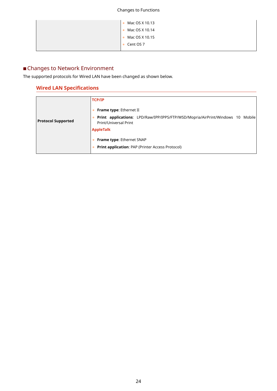<span id="page-25-0"></span>

| Mac OS X 10.13 |
|----------------|
| Mac OS X 10.14 |
| Mac OS X 10.15 |
| Cent OS 7      |
|                |

### ■ Changes to Network Environment

The supported protocols for Wired LAN have been changed as shown below.

### **Wired LAN Specifications**

|                           | <b>TCP/IP</b>                                                                                                     |
|---------------------------|-------------------------------------------------------------------------------------------------------------------|
|                           | Frame type: Ethernet II                                                                                           |
| <b>Protocol Supported</b> | Print applications: LPD/Raw/IPP/IPPS/FTP/WSD/Mopria/AirPrint/Windows 10<br>Mobile<br><b>Print/Universal Print</b> |
|                           | <b>AppleTalk</b>                                                                                                  |
|                           | <b>Frame type: Ethernet SNAP</b>                                                                                  |
|                           | Print application: PAP (Printer Access Protocol)                                                                  |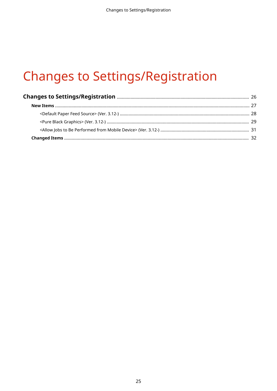# **Changes to Settings/Registration**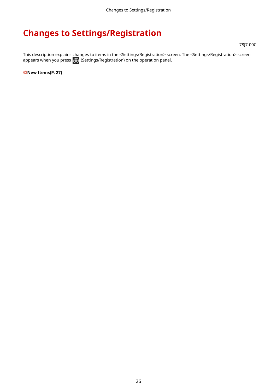# <span id="page-27-0"></span>**Changes to Settings/Registration**

78J7-00C

This description explains changes to items in the <Settings/Registration> screen. The <Settings/Registration> screen appears when you press  $\left( \mathcal{A} \right)$  (Settings/Registration) on the operation panel.

**[New Items\(P. 27\)](#page-28-0)**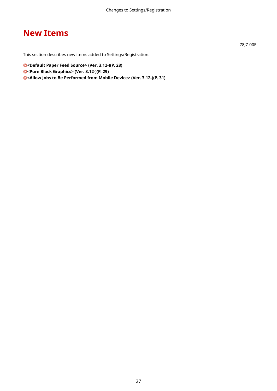# <span id="page-28-0"></span>**New Items**

78J7-00E

This section describes new items added to Settings/Registration.

**[<Default Paper Feed Source> \(Ver. 3.12-\)\(P. 28\)](#page-29-0)  [<Pure Black Graphics> \(Ver. 3.12-\)\(P. 29\)](#page-30-0)  [<Allow Jobs to Be Performed from Mobile Device> \(Ver. 3.12-\)\(P. 31\)](#page-32-0)**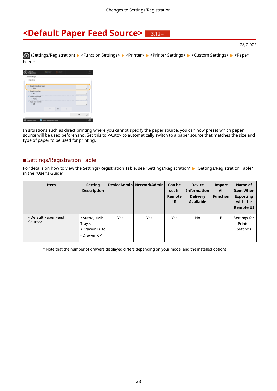#### <span id="page-29-0"></span>**<Default Paper Feed Source>**  $-3.12-$

 (Settings/Registration) <Function Settings> <Printer> <Printer Settings> <Custom Settings> <Paper Feed>

78J7-00F

| <b>Printier Settings</b>                                                               |    |   |            |  |
|----------------------------------------------------------------------------------------|----|---|------------|--|
| <b>Rapel Feed</b>                                                                      |    |   |            |  |
| · Default Roper Feed Source<br>$ RIB$                                                  |    |   |            |  |
| · Default Roover Size<br>$-44$                                                         |    |   |            |  |
| <b>STATE OF BUILDING</b><br><b>Default Raper Type</b><br>$\blacksquare$<br>$=$ Plain 3 |    |   |            |  |
| <b>STATE OF BUILDING</b><br><b>Room Size-Breetide</b><br>٠<br>$= 00$                   |    |   |            |  |
|                                                                                        | 10 | × |            |  |
|                                                                                        |    |   | <b>CHE</b> |  |

In situations such as direct printing where you cannot specify the paper source, you can now preset which paper source will be used beforehand. Set this to <Auto> to automatically switch to a paper source that matches the size and type of paper to be used for printing.

#### ■ Settings/Registration Table

For details on how to view the Settings/Registration Table, see "Settings/Registration" > "Settings/Registration Table" in the "User's Guide".

| Item                                              | <b>Setting</b><br><b>Description</b>                                                               |     | DeviceAdmin NetworkAdmin | Can be<br>set in<br><b>Remote</b><br>UI | <b>Device</b><br><b>Information</b><br><b>Delivery</b><br><b>Available</b> | Import<br>All<br><b>Function</b> | Name of<br>Item When<br><b>Exporting</b><br>with the<br><b>Remote UI</b> |
|---------------------------------------------------|----------------------------------------------------------------------------------------------------|-----|--------------------------|-----------------------------------------|----------------------------------------------------------------------------|----------------------------------|--------------------------------------------------------------------------|
| <default feed<br="" paper="">Source&gt;</default> | <auto>, <mp<br>Tray&gt;,<br/><drawer 1=""> to<br/>'<drawer x="">*</drawer></drawer></mp<br></auto> | Yes | Yes                      | Yes                                     | <b>No</b>                                                                  | B                                | Settings for<br>Printer<br>Settings                                      |

\* Note that the number of drawers displayed differs depending on your model and the installed options.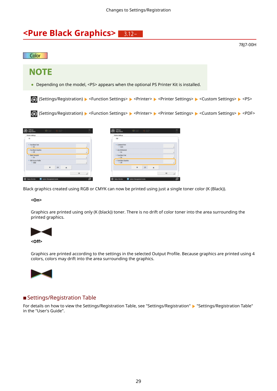78J7-00H

#### <span id="page-30-0"></span>**<Pure Black Graphics>**  $-3.12-$

Color

## **NOTE**

● Depending on the model, <PS> appears when the optional PS Printer Kit is installed.

**Section** 

(Settings/Registration) <Function Settings> <Printer> <Printer Settings> <Custom Settings> <PS>

(Settings/Registration) <Function Settings> <Printer> <Printer Settings> <Custom Settings> <PDF>

| Printlet fieldings<br>$\mathbf{r}$ |    |  |           |  |
|------------------------------------|----|--|-----------|--|
|                                    |    |  |           |  |
| . Pum Mack Text<br>$=$ 0n          |    |  |           |  |
| . Pute Mark Graphics<br>$= 10$ ff  |    |  |           |  |
| · litect Overprint<br>$=$ 0n       |    |  |           |  |
| . Idal Source Partie<br>$-1896$    |    |  |           |  |
|                                    | 34 |  |           |  |
|                                    |    |  | <b>OR</b> |  |

| 138                                  |    |     |  |
|--------------------------------------|----|-----|--|
|                                      |    |     |  |
| . Comment Print                      |    |     |  |
| $=$ $k/s$                            |    |     |  |
| <b>Une Refinement</b><br>٠<br>$=$ 0s |    |     |  |
| . Pum Mark Fest                      |    |     |  |
| $=$ 0s                               |    |     |  |
| . Pum Mark Graphics<br>$= 0$ ff      |    |     |  |
|                                      |    |     |  |
|                                      | 35 |     |  |
|                                      |    |     |  |
|                                      |    | CW. |  |

Black graphics created using RGB or CMYK can now be printed using just a single toner color (K (Black)).

#### **<On>**

Graphics are printed using only (K (black)) toner. There is no drift of color toner into the area surrounding the printed graphics.



Graphics are printed according to the settings in the selected Output Profile. Because graphics are printed using 4 colors, colors may drift into the area surrounding the graphics.



#### ■ Settings/Registration Table

For details on how to view the Settings/Registration Table, see "Settings/Registration" resettings/Registration Table" in the "User's Guide".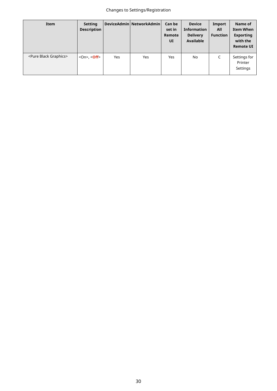### Changes to Settings/Registration

| Item                               | <b>Setting</b><br><b>Description</b> |     | DeviceAdmin NetworkAdmin | Can be<br>set in<br><b>Remote</b><br>UI | <b>Device</b><br><b>Information</b><br><b>Delivery</b><br>Available | Import<br>All<br><b>Function</b> | Name of<br><b>Item When</b><br><b>Exporting</b><br>with the<br><b>Remote UI</b> |
|------------------------------------|--------------------------------------|-----|--------------------------|-----------------------------------------|---------------------------------------------------------------------|----------------------------------|---------------------------------------------------------------------------------|
| <pure black="" graphics=""></pure> | $<$ On>, $<$ Off>                    | Yes | Yes                      | Yes                                     | No.                                                                 |                                  | Settings for<br>Printer<br>Settings                                             |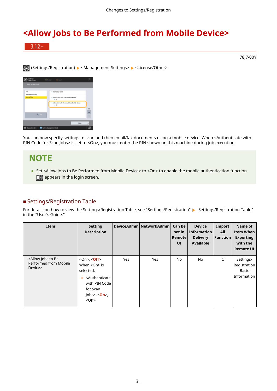# <span id="page-32-0"></span>**<Allow Jobs to Be Performed from Mobile Device>**

 $3.12 -$ 

78J7-00Y

(Settings/Registration) <Management Settings> <License/Other>

| Sellings<br>Begistution                | Bow Bish                                                           |    |
|----------------------------------------|--------------------------------------------------------------------|----|
| Select an item to use.                 |                                                                    |    |
| <b>kar</b><br><b>Nanspiect Setings</b> | * Start Sman Galder                                                |    |
| Economist                              | . Allow Us of Print Function from Mobile<br><b>8.00</b>            |    |
|                                        | . Gloss 14c is the Sectionned State McGulle Dealers<br><b>H</b> OH |    |
|                                        |                                                                    | 33 |
| t                                      |                                                                    |    |
|                                        | Close                                                              | u  |
| Status Monitor                         | <b>R</b> usern Management mode                                     |    |

You can now specify settings to scan and then email/fax documents using a mobile device. When <Authenticate with PIN Code for Scan Jobs> is set to <On>, you must enter the PIN shown on this machine during job execution.

# **NOTE**

● Set <Allow Jobs to Be Performed from Mobile Device> to <On> to enable the mobile authentication function. **a** appears in the login screen.

### ■ Settings/Registration Table

For details on how to view the Settings/Registration Table, see "Settings/Registration" > "Settings/Registration Table" in the "User's Guide."

| Item                                                                       | <b>Setting</b><br><b>Description</b>                                                                                                                                                                              |     | DeviceAdmin NetworkAdmin | Can be<br>set in<br>Remote<br>UI | <b>Device</b><br><b>Information</b><br><b>Delivery</b><br><b>Available</b> | Import<br>All<br><b>Function</b> | Name of<br><b>Item When</b><br><b>Exporting</b><br>with the<br><b>Remote UI</b> |
|----------------------------------------------------------------------------|-------------------------------------------------------------------------------------------------------------------------------------------------------------------------------------------------------------------|-----|--------------------------|----------------------------------|----------------------------------------------------------------------------|----------------------------------|---------------------------------------------------------------------------------|
| <allow be<br="" jobs="" to="">Performed from Mobile<br/>Device&gt;</allow> | $<$ On>, $<$ Off><br>When $<$ On $>$ is<br>selected:<br><authenticate<br>with PIN Code<br/>for Scan<br/><math>\vert</math>obs&gt;: &lt;<b>On</b>&gt;,<br/><math>&lt;</math>Off<math>&gt;</math></authenticate<br> | Yes | Yes                      | <b>No</b>                        | No                                                                         | C                                | Settings/<br>Registration<br>Basic<br>Information                               |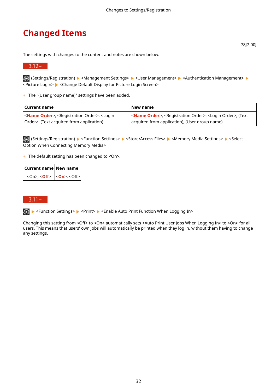# <span id="page-33-0"></span>**Changed Items**

78J7-00J

The settings with changes to the content and notes are shown below.

#### $3.12 -$

 (Settings/Registration) <Management Settings> <User Management> <Authentication Management> <Picture Login> <Change Default Display for Picture Login Screen>

● The "(User group name)" settings have been added.

| Current name                                                                                                                                                                                                  | New name                                                                                                |
|---------------------------------------------------------------------------------------------------------------------------------------------------------------------------------------------------------------|---------------------------------------------------------------------------------------------------------|
| <b>Solution</b> State Order>, <registration order="">, <login< td=""><td><b> <name order="">, <registration order="">, <login order="">, (Text</login></registration></name></b></td></login<></registration> | <b> <name order="">, <registration order="">, <login order="">, (Text</login></registration></name></b> |
| Order>, (Text acquired from application)                                                                                                                                                                      | acquired from application), (User group name)                                                           |

(<del>X)</del> (Settings/Registration) ▶ <Function Settings> ▶ <Store/Access Files> ▶ <Memory Media Settings> ▶ <Select Option When Connecting Memory Media>

 $\bullet$  The default setting has been changed to <On>.

| $ $ Current name $ $ New name $ $                                   |  |
|---------------------------------------------------------------------|--|
| $\langle$ On>, $\langle$ Off> $ $ $\langle$ On>, $\langle$ Off> $ $ |  |

#### $3.11 -$

▶ <Function Settings> ▶ <Print> ▶ <Enable Auto Print Function When Logging In> ⊛

Changing this setting from <Off> to <On> automatically sets <Auto Print User Jobs When Logging In> to <On> for all users. This means that users' own jobs will automatically be printed when they log in, without them having to change any settings.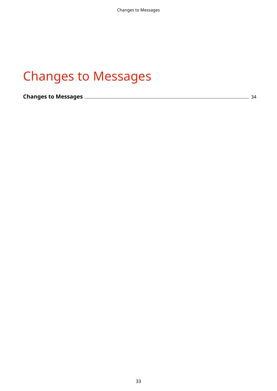# **Changes to Messages**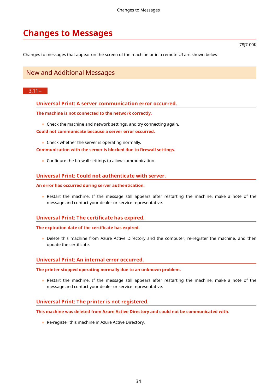## <span id="page-35-0"></span>**Changes to Messages**

78J7-00K

Changes to messages that appear on the screen of the machine or in a remote UI are shown below.

### New and Additional Messages

#### $3.11 -$

#### **Universal Print: A server communication error occurred.**

#### **The machine is not connected to the network correctly.**

● Check the machine and network settings, and try connecting again.

**Could not communicate because a server error occurred.**

• Check whether the server is operating normally.

**Communication with the server is blocked due to firewall settings.** 

• Configure the firewall settings to allow communication.

#### **Universal Print: Could not authenticate with server.**

#### **An error has occurred during server authentication.**

● Restart the machine. If the message still appears after restarting the machine, make a note of the message and contact your dealer or service representative.

#### **Universal Print: The certificate has expired.**

#### The expiration date of the certificate has expired.

• Delete this machine from Azure Active Directory and the computer, re-register the machine, and then update the certificate.

#### **Universal Print: An internal error occurred.**

**The printer stopped operating normally due to an unknown problem.**

● Restart the machine. If the message still appears after restarting the machine, make a note of the message and contact your dealer or service representative.

#### **Universal Print: The printer is not registered.**

**This machine was deleted from Azure Active Directory and could not be communicated with.**

● Re-register this machine in Azure Active Directory.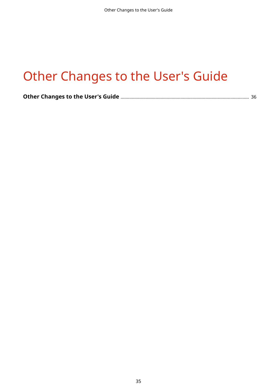# Other Changes to the User's Guide

|--|--|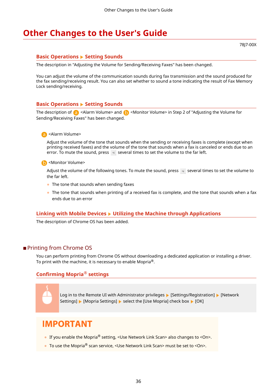# <span id="page-37-0"></span>**Other Changes to the User's Guide**

78J7-00X

#### **Basic Operations • Setting Sounds**

The description in "Adjusting the Volume for Sending/Receiving Faxes" has been changed.

You can adjust the volume of the communication sounds during fax transmission and the sound produced for the fax sending/receiving result. You can also set whether to sound a tone indicating the result of Fax Memory Lock sending/receiving.

#### **Basic Operations Betting Sounds**

The description of  $\epsilon$  <Alarm Volume> and  $\epsilon$  <Monitor Volume> in Step 2 of "Adjusting the Volume for Sending/Receiving Faxes" has been changed.

#### <Alarm Volume>

Adjust the volume of the tone that sounds when the sending or receiving faxes is complete (except when printing received faxes) and the volume of the tone that sounds when a fax is canceled or ends due to an error. To mute the sound, press several times to set the volume to the far left.

#### <Monitor Volume>

Adjust the volume of the following tones. To mute the sound, press several times to set the volume to the far left.

- $\bullet$  The tone that sounds when sending faxes
- The tone that sounds when printing of a received fax is complete, and the tone that sounds when a fax ends due to an error

#### **Linking with Mobile Devices Utilizing the Machine through Applications**

The description of Chrome OS has been added.

#### ■ Printing from Chrome OS

You can perform printing from Chrome OS without downloading a dedicated application or installing a driver. To print with the machine, it is necessary to enable Mopria®.

#### **Confirming Mopria**<sup>®</sup> settings



Log in to the Remote UI with Administrator privileges  $\blacktriangleright$  [Settings/Registration]  $\blacktriangleright$  [Network Settings] Mopria Settings] Select the [Use Mopria] check box MICK]

## **IMPORTANT**

- If you enable the Mopria® setting, <Use Network Link Scan> also changes to <On>.
- To use the Mopria<sup>®</sup> scan service, <Use Network Link Scan> must be set to <On>.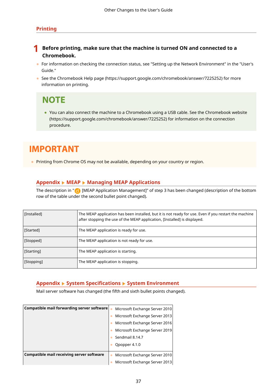#### **Printing**

- **1 Before printing, make sure that the machine is turned ON and connected to a Chromebook.**
- For information on checking the connection status, see "Setting up the Network Environment" in the "User's Guide."
- See the Chromebook Help page (https://support.google.com/chromebook/answer/7225252) for more information on printing.

# **NOTE**

● You can also connect the machine to a Chromebook using a USB cable. See the Chromebook website (https://support.google.com/chromebook/answer/7225252) for information on the connection procedure.

# **IMPORTANT**

● Printing from Chrome OS may not be available, depending on your country or region.

#### **Appendix ► MEAP ► Managing MEAP Applications**

The description in " <sup>1</sup> [MEAP Application Management]" of step 3 has been changed (description of the bottom row of the table under the second bullet point changed).

| [Installed] | The MEAP application has been installed, but it is not ready for use. Even if you restart the machine<br>after stopping the use of the MEAP application, [Installed] is displayed. |
|-------------|------------------------------------------------------------------------------------------------------------------------------------------------------------------------------------|
| [Started]   | The MEAP application is ready for use.                                                                                                                                             |
| [Stopped]   | The MEAP application is not ready for use.                                                                                                                                         |
| [Starting]  | The MEAP application is starting.                                                                                                                                                  |
| [Stopping]  | The MEAP application is stopping.                                                                                                                                                  |

#### **Appendix System Specifications System Environment**

Mail server software has changed (the fifth and sixth bullet points changed).

| Compatible mail forwarding server software | Microsoft Exchange Server 2010<br>$\bullet$ |
|--------------------------------------------|---------------------------------------------|
|                                            | Microsoft Exchange Server 2013              |
|                                            | Microsoft Exchange Server 2016              |
|                                            | Microsoft Exchange Server 2019              |
|                                            | Sendmail 8.14.7                             |
|                                            | Qpopper 4.1.0                               |
|                                            |                                             |
| Compatible mail receiving server software  | Microsoft Exchange Server 2010              |
|                                            | Microsoft Exchange Server 2013              |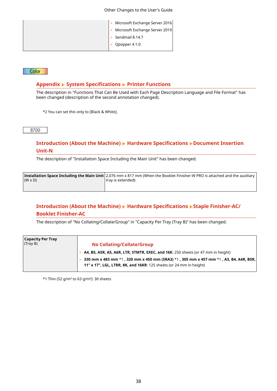Other Changes to the User's Guide

| Microsoft Exchange Server 2016   |
|----------------------------------|
| • Microsoft Exchange Server 2019 |
| Sendmail 8.14.7                  |
| Qpopper 4.1.0                    |
|                                  |

Color

#### **Appendix ▶ System Specifications ▶ Printer Functions**

The description in "Functions That Can Be Used with Each Page Description Language and File Format" has been changed (description of the second annotation changed).

\*2 You can set this only to [Black & White].

8700

### **Introduction (About the Machine) ▶ Hardware Specifications ▶ Document Insertion Unit-N**

The description of "Installation Space Including the Main Unit" has been changed.

|                | <b>Installation Space Including the Main Unit</b> 2,076 mm x 817 mm (When the Booklet Finisher-W PRO is attached and the auxiliary |
|----------------|------------------------------------------------------------------------------------------------------------------------------------|
| $(W \times D)$ | l trav is extended)                                                                                                                |
|                |                                                                                                                                    |

### **Introduction (About the Machine) ▶ Hardware Specifications ▶ Staple Finisher-AC/ Booklet Finisher-AC**

The description of "No Collating/Collate/Group" in "Capacity Per Tray (Tray B)" has been changed.

| <b>Capacity Per Tray</b><br>(Tray B) | <b>No Collating/Collate/Group</b>                                                                                                                           |
|--------------------------------------|-------------------------------------------------------------------------------------------------------------------------------------------------------------|
|                                      | A4, B5, A5R, A5, A6R, LTR, STMTR, EXEC, and 16K: 250 sheets (or 47 mm in height)                                                                            |
|                                      | 330 mm x 483 mm *1, 320 mm x 450 mm (SRA3) *1, 305 mm x 457 mm *1, A3, B4, A4R, B5R,<br>11" x 17", LGL, LTRR, 8K, and 16KR: 125 sheets (or 24 mm in height) |

\*1 Thin (52 g/m² to 63 g/m²): 30 sheets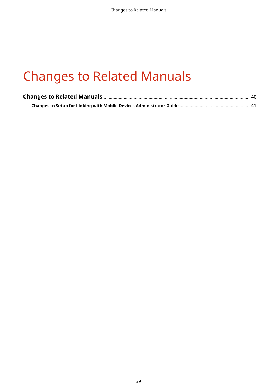# Changes to Related Manuals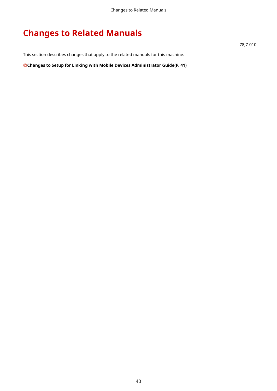# <span id="page-41-0"></span>**Changes to Related Manuals**

78J7-010

This section describes changes that apply to the related manuals for this machine.

**Changes to Setup for Linking with Mobile Devices Administrator Guide(P. 41)**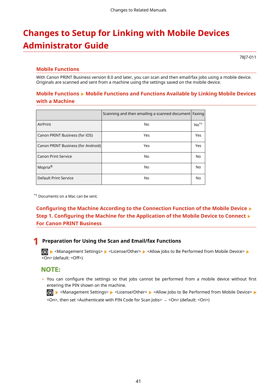# <span id="page-42-0"></span>**Changes to Setup for Linking with Mobile Devices Administrator Guide**

78J7-011

#### **Mobile Functions**

With Canon PRINT Business version 8.0 and later, you can scan and then email/fax jobs using a mobile device. Originals are scanned and sent from a machine using the settings saved on the mobile device.

#### **Mobile Functions • Mobile Functions and Functions Available by Linking Mobile Devices with a Machine**

|                                    | Scanning and then emailing a scanned document Faxing |                |
|------------------------------------|------------------------------------------------------|----------------|
| AirPrint                           | No                                                   | $No*1$         |
| Canon PRINT Business (for iOS)     | Yes                                                  | Yes            |
| Canon PRINT Business (for Android) | Yes                                                  | Yes            |
| <b>Canon Print Service</b>         | No                                                   | N <sub>0</sub> |
| Mopria <sup>®</sup>                | No                                                   | No             |
| Default Print Service              | No                                                   | No             |

\*1 Documents on a Mac can be sent.

**Configuring the Machine According to the Connection Function of the Mobile Device**  $\blacktriangleright$ **Step 1. Configuring the Machine for the Application of the Mobile Device to Connect**  $\triangleright$ **For Canon PRINT Business**

#### **1 Preparation for Using the Scan and Email/fax Functions**

 $\bigoplus$   $\blacktriangleright$  <Management Settings>  $\blacktriangleright$  <License/Other>  $\blacktriangleright$  <Allow Jobs to Be Performed from Mobile Device>  $\blacktriangleright$ <On> (default: <Off>)

#### **NOTE:**

• You can configure the settings so that jobs cannot be performed from a mobile device without first entering the PIN shown on the machine.

A E <Management Settings> E <License/Other> E <Allow Jobs to Be Performed from Mobile Device> E <On>, then set <Authenticate with PIN Code for Scan Jobs> → <On> (default: <On>)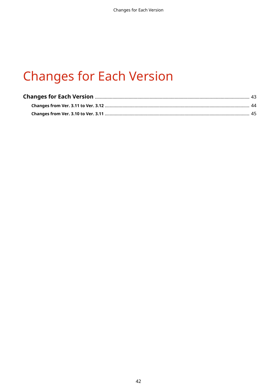# **Changes for Each Version**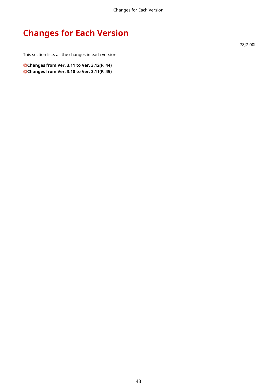# <span id="page-44-0"></span>**Changes for Each Version**

This section lists all the changes in each version.

**[Changes from Ver. 3.11 to Ver. 3.12\(P. 44\)](#page-45-0)  [Changes from Ver. 3.10 to Ver. 3.11\(P. 45\)](#page-46-0)**  78J7-00L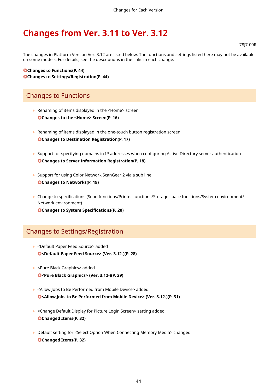# <span id="page-45-0"></span>**Changes from Ver. 3.11 to Ver. 3.12**

#### 78J7-00R

The changes in Platform Version Ver. 3.12 are listed below. The functions and settings listed here may not be available on some models. For details, see the descriptions in the links in each change.

#### **Changes to Functions (P. 44) Changes to Settings/Registration(P. 44)**

### Changes to Functions

- Renaming of items displayed in the <Home> screen **[Changes to the <Home> Screen\(P. 16\)](#page-17-0)**
- Renaming of items displayed in the one-touch button registration screen **[Changes to Destination Registration\(P. 17\)](#page-18-0)**
- Support for specifying domains in IP addresses when configuring Active Directory server authentication **Changes to Server Information Registration(P. 18)**
- Support for using Color Network ScanGear 2 via a sub line **Changes to Networks(P. 19)**
- Change to specifications (Send functions/Printer functions/Storage space functions/System environment/ Network environment)

**OChanges to System Specifications(P. 20)** 

### Changes to Settings/Registration

- <Default Paper Feed Source> added **[<Default Paper Feed Source> \(Ver. 3.12-\)\(P. 28\)](#page-29-0)**
- <Pure Black Graphics> added **[<Pure Black Graphics> \(Ver. 3.12-\)\(P. 29\)](#page-30-0)**
- <Allow Jobs to Be Performed from Mobile Device> added **[<Allow Jobs to Be Performed from Mobile Device> \(Ver. 3.12-\)\(P. 31\)](#page-32-0)**
- <Change Default Display for Picture Login Screen> setting added **[Changed Items\(P. 32\)](#page-33-0)**
- Default setting for <Select Option When Connecting Memory Media> changed **[Changed Items\(P. 32\)](#page-33-0)**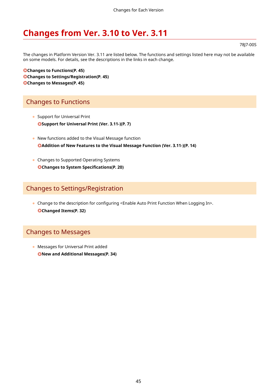# <span id="page-46-0"></span>**Changes from Ver. 3.10 to Ver. 3.11**

78J7-00S

The changes in Platform Version Ver. 3.11 are listed below. The functions and settings listed here may not be available on some models. For details, see the descriptions in the links in each change.

**Changes to Functions(P. 45) Changes to Settings/Registration(P. 45) Changes to Messages(P. 45)** 

## Changes to Functions

- Support for Universal Print **[Support for Universal Print \(Ver. 3.11-\)\(P. 7\)](#page-8-0)**
- New functions added to the Visual Message function **[Addition of New Features to the Visual Message Function \(Ver. 3.11-\)\(P. 14\)](#page-15-0)**
- Changes to Supported Operating Systems **OChanges to System Specifications(P. 20)**

### Changes to Settings/Registration

• Change to the description for configuring <Enable Auto Print Function When Logging In>. **[Changed Items\(P. 32\)](#page-33-0)** 

### Changes to Messages

● Messages for Universal Print added **O**New and Additional Messages(P. 34)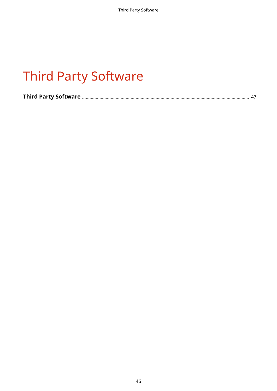# Third Party Software

|--|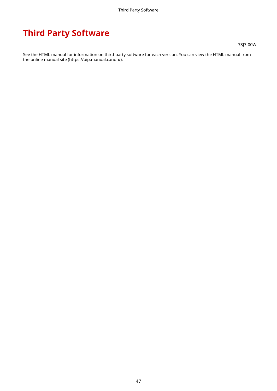Third Party Software

# <span id="page-48-0"></span>**Third Party Software**

78J7-00W

See the HTML manual for information on third-party software for each version. You can view the HTML manual from the online manual site (https://oip.manual.canon/).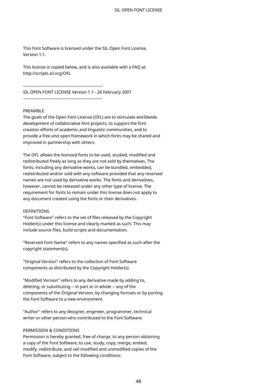This Font Software is licensed under the SIL Open Font License, Version 1.1.

This license is copied below, and is also available with a FAQ at: http://scripts.sil.org/OFL

-----------------------------------------------------------

SIL OPEN FONT LICENSE Version 1.1 - 26 February 2007

-----------------------------------------------------------

#### PREAMBLE

The goals of the Open Font License (OFL) are to stimulate worldwide development of collaborative font projects, to support the font creation efforts of academic and linguistic communities, and to provide a free and open framework in which fonts may be shared and improved in partnership with others.

The OFL allows the licensed fonts to be used, studied, modified and redistributed freely as long as they are not sold by themselves. The fonts, including any derivative works, can be bundled, embedded, redistributed and/or sold with any software provided that any reserved names are not used by derivative works. The fonts and derivatives, however, cannot be released under any other type of license. The requirement for fonts to remain under this license does not apply to any document created using the fonts or their derivatives.

#### **DEFINITIONS**

"Font Software" refers to the set of files released by the Copyright Holder(s) under this license and clearly marked as such. This may include source files, build scripts and documentation.

"Reserved Font Name" refers to any names specified as such after the copyright statement(s).

"Original Version" refers to the collection of Font Software components as distributed by the Copyright Holder(s).

"Modified Version" refers to any derivative made by adding to, deleting, or substituting -- in part or in whole -- any of the components of the Original Version, by changing formats or by porting the Font Software to a new environment.

"Author" refers to any designer, engineer, programmer, technical writer or other person who contributed to the Font Software.

#### PERMISSION & CONDITIONS

Permission is hereby granted, free of charge, to any person obtaining a copy of the Font Software, to use, study, copy, merge, embed, modify, redistribute, and sell modified and unmodified copies of the Font Software, subject to the following conditions: